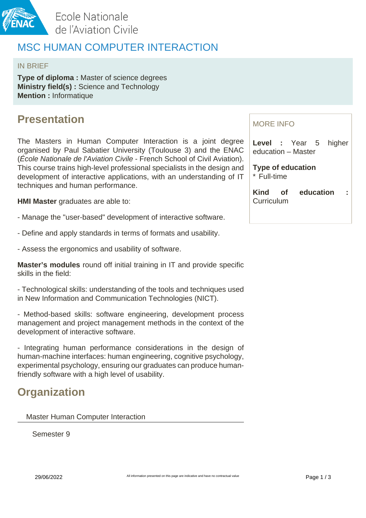

Ecole Nationale de l'Aviation Civile

## MSC HUMAN COMPUTER INTERACTION

### IN BRIEF

**Type of diploma :** Master of science degrees **Ministry field(s) :** Science and Technology **Mention :** Informatique

## **Presentation**

The Masters in Human Computer Interaction is a joint degree organised by Paul Sabatier University (Toulouse 3) and the ENAC (École Nationale de l'Aviation Civile - French School of Civil Aviation). This course trains high-level professional specialists in the design and development of interactive applications, with an understanding of IT techniques and human performance.

**HMI Master** graduates are able to:

- Manage the "user-based" development of interactive software.
- Define and apply standards in terms of formats and usability.
- Assess the ergonomics and usability of software.

**Master's modules** round off initial training in IT and provide specific skills in the field:

- Technological skills: understanding of the tools and techniques used in New Information and Communication Technologies (NICT).

- Method-based skills: software engineering, development process management and project management methods in the context of the development of interactive software.

- Integrating human performance considerations in the design of human-machine interfaces: human engineering, cognitive psychology, experimental psychology, ensuring our graduates can produce humanfriendly software with a high level of usability.

## **Organization**

Master Human Computer Interaction

Semester 9

### MORE INFO

**Level :** Year 5 higher education – Master

**Type of education** \* Full-time

**Kind of education : Curriculum**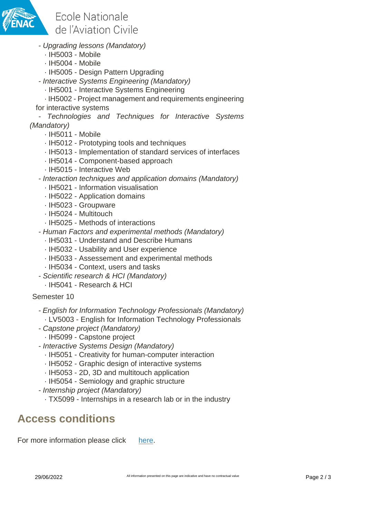

Ecole Nationale de l'Aviation Civile

- Upgrading lessons (Mandatory)
	- · IH5003 Mobile
	- · IH5004 Mobile
	- · IH5005 Design Pattern Upgrading
- Interactive Systems Engineering (Mandatory)
	- · IH5001 Interactive Systems Engineering

· IH5002 - Project management and requirements engineering for interactive systems

- Technologies and Techniques for Interactive Systems (Mandatory)

- · IH5011 Mobile
- · IH5012 Prototyping tools and techniques
- · IH5013 Implementation of standard services of interfaces
- · IH5014 Component-based approach
- · IH5015 Interactive Web
- Interaction techniques and application domains (Mandatory)
	- · IH5021 Information visualisation
	- · IH5022 Application domains
	- · IH5023 Groupware
	- · IH5024 Multitouch
	- · IH5025 Methods of interactions
- Human Factors and experimental methods (Mandatory)
	- · IH5031 Understand and Describe Humans
	- · IH5032 Usability and User experience
	- · IH5033 Assessement and experimental methods
	- · IH5034 Context, users and tasks
- Scientific research & HCI (Mandatory)
	- · IH5041 Research & HCI

### Semester 10

- English for Information Technology Professionals (Mandatory) · LV5003 - English for Information Technology Professionals
- Capstone project (Mandatory)
	- · IH5099 Capstone project
- Interactive Systems Design (Mandatory)
	- · IH5051 Creativity for human-computer interaction
	- · IH5052 Graphic design of interactive systems
	- · IH5053 2D, 3D and multitouch application
	- · IH5054 Semiology and graphic structure
- Internship project (Mandatory)
	- · TX5099 Internships in a research lab or in the industry

### **Access conditions**

For more information please click [here](http://www.masterihm.fr/).